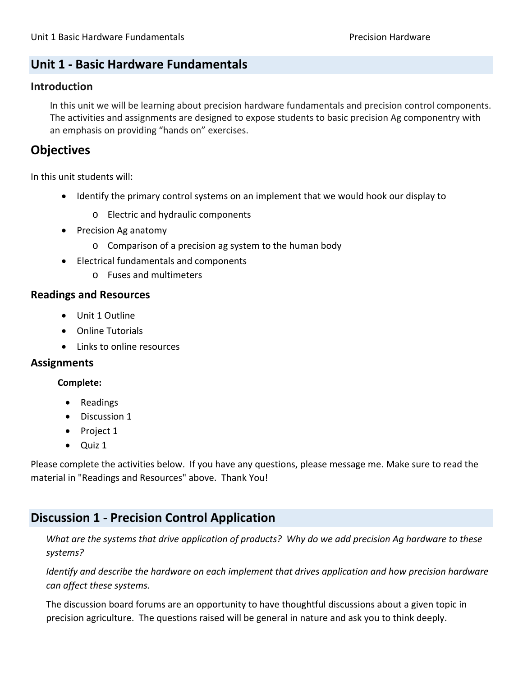# **Unit 1 ‐ Basic Hardware Fundamentals**

#### **Introduction**

In this unit we will be learning about precision hardware fundamentals and precision control components. The activities and assignments are designed to expose students to basic precision Ag componentry with an emphasis on providing "hands on" exercises.

# **Objectives**

In this unit students will:

- Identify the primary control systems on an implement that we would hook our display to
	- o Electric and hydraulic components
- Precision Ag anatomy
	- o Comparison of a precision ag system to the human body
- Electrical fundamentals and components
	- o Fuses and multimeters

#### **Readings and Resources**

- Unit 1 Outline
- Online Tutorials
- Links to online resources

#### **Assignments**

#### **Complete:**

- Readings
- Discussion 1
- Project 1
- Quiz 1

Please complete the activities below. If you have any questions, please message me. Make sure to read the material in "Readings and Resources" above. Thank You!

### **Discussion 1 ‐ Precision Control Application**

What are the systems that drive application of products? Why do we add precision Ag hardware to these *systems?* 

*Identify and describe the hardware on each implement that drives application and how precision hardware can affect these systems.*

The discussion board forums are an opportunity to have thoughtful discussions about a given topic in precision agriculture. The questions raised will be general in nature and ask you to think deeply.